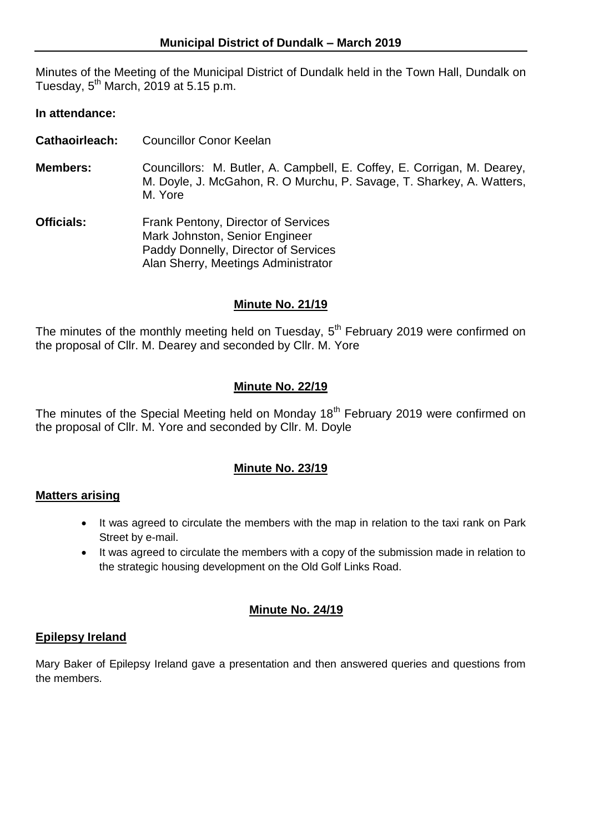Minutes of the Meeting of the Municipal District of Dundalk held in the Town Hall, Dundalk on Tuesday,  $5^{\text{th}}$  March, 2019 at 5.15 p.m.

### **In attendance:**

- **Cathaoirleach:** Councillor Conor Keelan
- **Members:** Councillors: M. Butler, A. Campbell, E. Coffey, E. Corrigan, M. Dearey, M. Doyle, J. McGahon, R. O Murchu, P. Savage, T. Sharkey, A. Watters, M. Yore
- **Officials:** Frank Pentony, Director of Services Mark Johnston, Senior Engineer Paddy Donnelly, Director of Services Alan Sherry, Meetings Administrator

#### **Minute No. 21/19**

The minutes of the monthly meeting held on Tuesday,  $5<sup>th</sup>$  February 2019 were confirmed on the proposal of Cllr. M. Dearey and seconded by Cllr. M. Yore

### **Minute No. 22/19**

The minutes of the Special Meeting held on Monday 18<sup>th</sup> February 2019 were confirmed on the proposal of Cllr. M. Yore and seconded by Cllr. M. Doyle

### **Minute No. 23/19**

#### **Matters arising**

- It was agreed to circulate the members with the map in relation to the taxi rank on Park Street by e-mail.
- It was agreed to circulate the members with a copy of the submission made in relation to the strategic housing development on the Old Golf Links Road.

#### **Minute No. 24/19**

#### **Epilepsy Ireland**

Mary Baker of Epilepsy Ireland gave a presentation and then answered queries and questions from the members.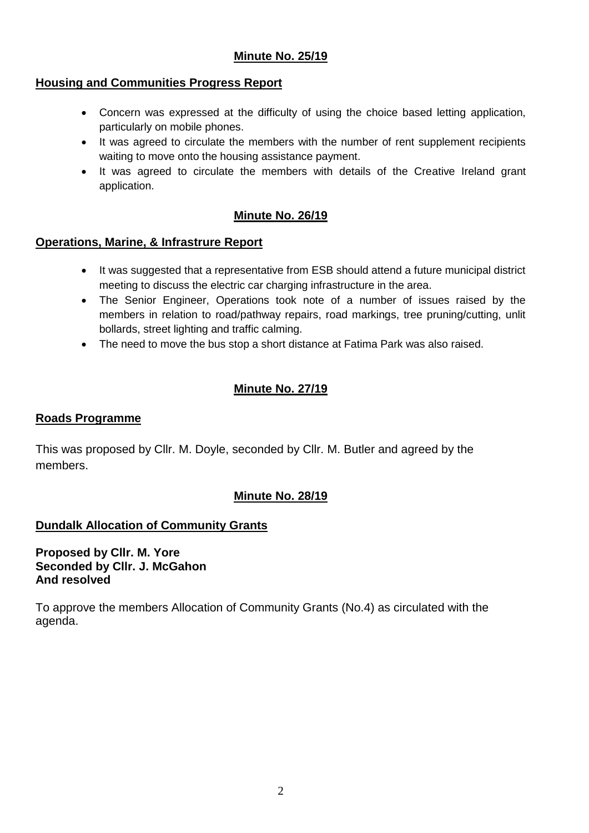# **Minute No. 25/19**

### **Housing and Communities Progress Report**

- Concern was expressed at the difficulty of using the choice based letting application, particularly on mobile phones.
- It was agreed to circulate the members with the number of rent supplement recipients waiting to move onto the housing assistance payment.
- It was agreed to circulate the members with details of the Creative Ireland grant application.

# **Minute No. 26/19**

# **Operations, Marine, & Infrastrure Report**

- It was suggested that a representative from ESB should attend a future municipal district meeting to discuss the electric car charging infrastructure in the area.
- The Senior Engineer, Operations took note of a number of issues raised by the members in relation to road/pathway repairs, road markings, tree pruning/cutting, unlit bollards, street lighting and traffic calming.
- The need to move the bus stop a short distance at Fatima Park was also raised.

# **Minute No. 27/19**

### **Roads Programme**

This was proposed by Cllr. M. Doyle, seconded by Cllr. M. Butler and agreed by the members.

# **Minute No. 28/19**

# **Dundalk Allocation of Community Grants**

**Proposed by Cllr. M. Yore Seconded by Cllr. J. McGahon And resolved**

To approve the members Allocation of Community Grants (No.4) as circulated with the agenda.